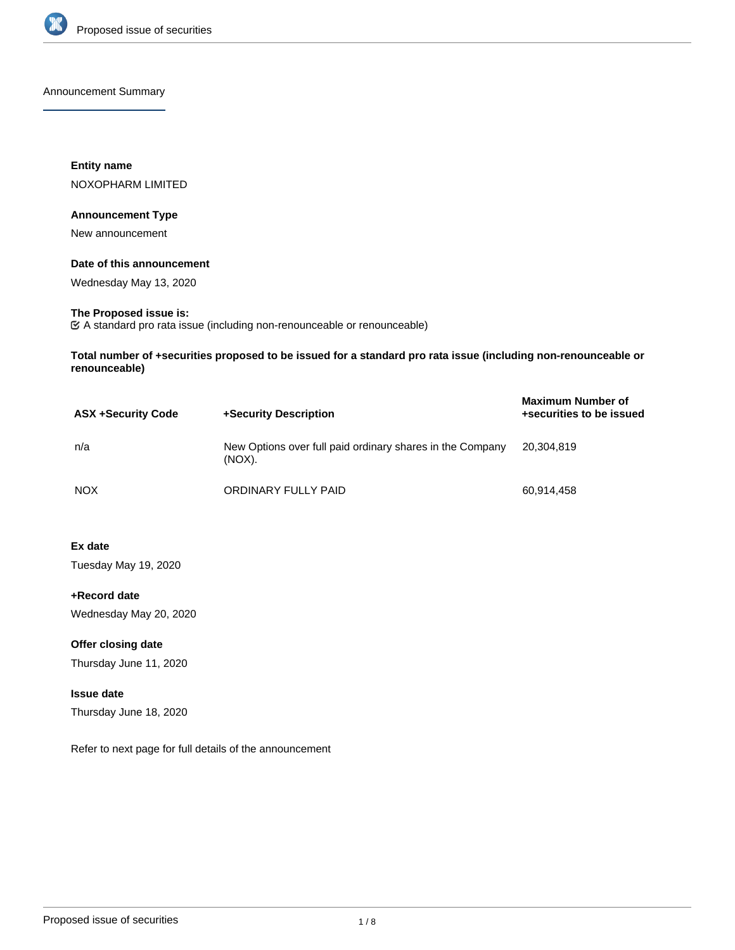

Announcement Summary

**Entity name** NOXOPHARM LIMITED

#### **Announcement Type**

New announcement

#### **Date of this announcement**

Wednesday May 13, 2020

# **The Proposed issue is:**

A standard pro rata issue (including non-renounceable or renounceable)

**Total number of +securities proposed to be issued for a standard pro rata issue (including non-renounceable or renounceable)**

| <b>ASX +Security Code</b> | +Security Description                                               | <b>Maximum Number of</b><br>+securities to be issued |
|---------------------------|---------------------------------------------------------------------|------------------------------------------------------|
| n/a                       | New Options over full paid ordinary shares in the Company<br>(NOX). | 20,304,819                                           |
| <b>NOX</b>                | ORDINARY FULLY PAID                                                 | 60,914,458                                           |

**Ex date**

Tuesday May 19, 2020

**+Record date** Wednesday May 20, 2020

**Offer closing date** Thursday June 11, 2020

# **Issue date**

Thursday June 18, 2020

Refer to next page for full details of the announcement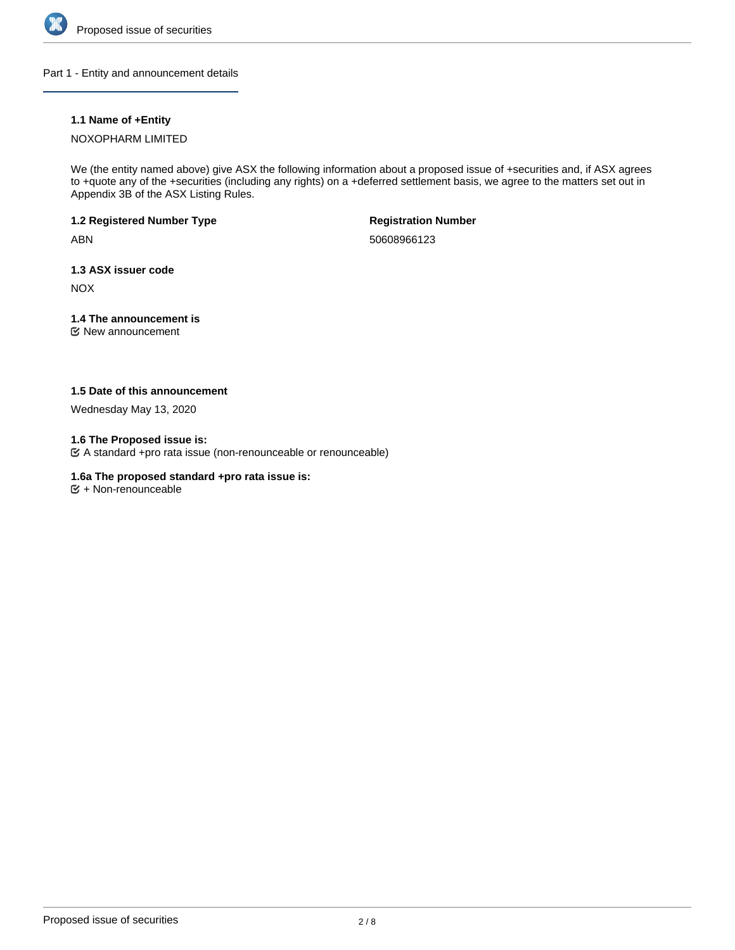

Part 1 - Entity and announcement details

# **1.1 Name of +Entity**

## NOXOPHARM LIMITED

We (the entity named above) give ASX the following information about a proposed issue of +securities and, if ASX agrees to +quote any of the +securities (including any rights) on a +deferred settlement basis, we agree to the matters set out in Appendix 3B of the ASX Listing Rules.

# **1.2 Registered Number Type**

ABN

**Registration Number**

50608966123

## **1.3 ASX issuer code**

NOX

# **1.4 The announcement is**

New announcement

## **1.5 Date of this announcement**

Wednesday May 13, 2020

## **1.6 The Proposed issue is:**

A standard +pro rata issue (non-renounceable or renounceable)

## **1.6a The proposed standard +pro rata issue is:**

 $\mathfrak{S}$  + Non-renounceable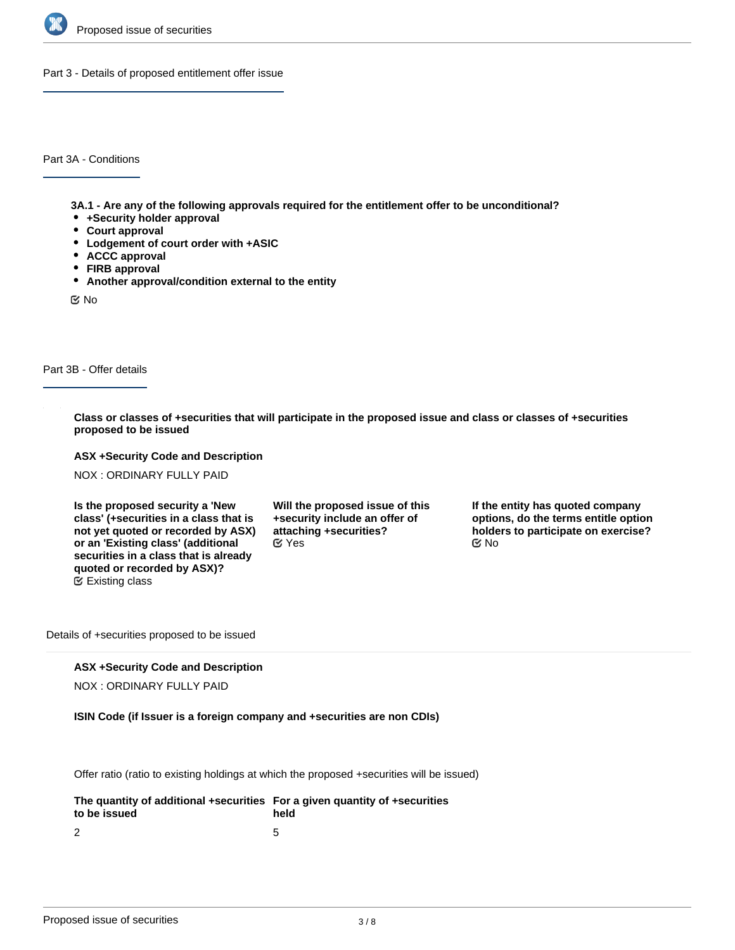

Part 3 - Details of proposed entitlement offer issue

Part 3A - Conditions

**3A.1 - Are any of the following approvals required for the entitlement offer to be unconditional?**

- **+Security holder approval**
- **Court approval**
- **Lodgement of court order with +ASIC**
- **ACCC approval**
- **FIRB approval**
- **Another approval/condition external to the entity**

No

## Part 3B - Offer details

**Class or classes of +securities that will participate in the proposed issue and class or classes of +securities proposed to be issued**

**ASX +Security Code and Description**

NOX : ORDINARY FULLY PAID

**Is the proposed security a 'New class' (+securities in a class that is not yet quoted or recorded by ASX) or an 'Existing class' (additional securities in a class that is already quoted or recorded by ASX)?** Existing class

**Will the proposed issue of this +security include an offer of attaching +securities?**  $\mathscr{C}$  Yes  $\mathscr{C}$  No

**If the entity has quoted company options, do the terms entitle option holders to participate on exercise?**

Details of +securities proposed to be issued

#### **ASX +Security Code and Description**

NOX : ORDINARY FULLY PAID

#### **ISIN Code (if Issuer is a foreign company and +securities are non CDIs)**

Offer ratio (ratio to existing holdings at which the proposed +securities will be issued)

| The quantity of additional +securities For a given quantity of +securities<br>to be issued | held |
|--------------------------------------------------------------------------------------------|------|
| ົາ                                                                                         |      |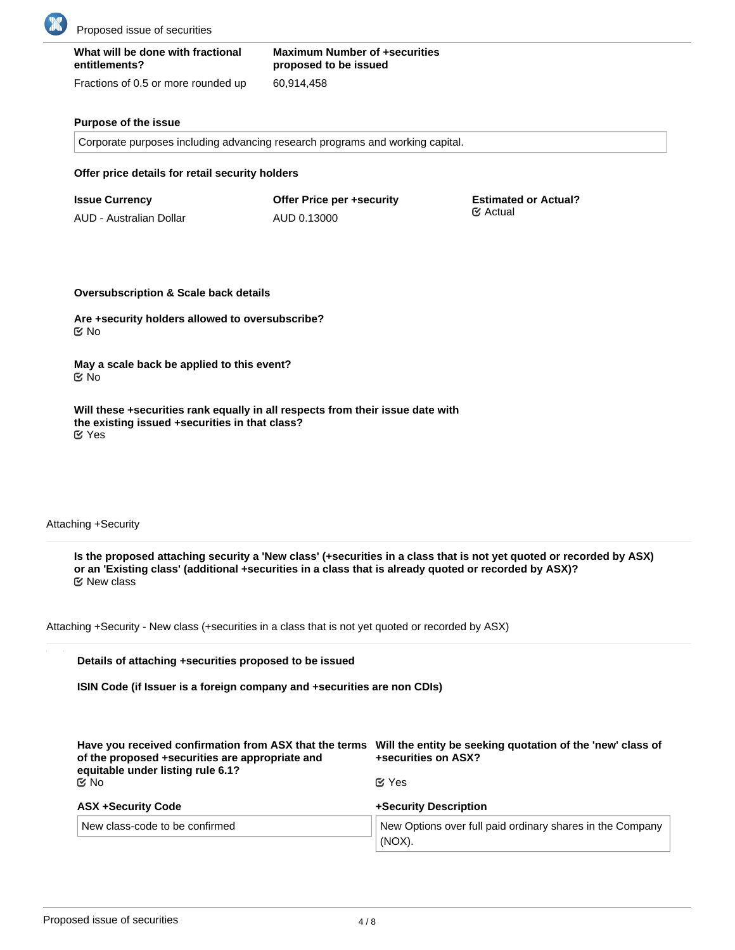

| What will be done with fractional   | <b>Maximum Number of +securities</b> |
|-------------------------------------|--------------------------------------|
| entitlements?                       | proposed to be issued                |
| Fractions of 0.5 or more rounded up | 60.914.458                           |

#### **Purpose of the issue**

Corporate purposes including advancing research programs and working capital.

**Offer price details for retail security holders**

| <b>Issue Currency</b>   | <b>Offer Price per +security</b> | <b>Estimated or Actual?</b><br>$\mathfrak{C}$ Actual |
|-------------------------|----------------------------------|------------------------------------------------------|
| AUD - Australian Dollar | AUD 0.13000                      |                                                      |

**Oversubscription & Scale back details**

**Are +security holders allowed to oversubscribe?** No

**May a scale back be applied to this event?** No

**Will these +securities rank equally in all respects from their issue date with the existing issued +securities in that class?** Yes

Attaching +Security

**Is the proposed attaching security a 'New class' (+securities in a class that is not yet quoted or recorded by ASX) or an 'Existing class' (additional +securities in a class that is already quoted or recorded by ASX)?** New class

Attaching +Security - New class (+securities in a class that is not yet quoted or recorded by ASX)

**Details of attaching +securities proposed to be issued**

**ISIN Code (if Issuer is a foreign company and +securities are non CDIs)**

| Have you received confirmation from ASX that the terms<br>of the proposed +securities are appropriate and<br>equitable under listing rule 6.1?<br><b>Mo</b> | Will the entity be seeking quotation of the 'new' class of<br>+securities on ASX?<br>$\mathfrak C$ Yes |
|-------------------------------------------------------------------------------------------------------------------------------------------------------------|--------------------------------------------------------------------------------------------------------|
| <b>ASX +Security Code</b>                                                                                                                                   | +Security Description                                                                                  |
| New class-code to be confirmed                                                                                                                              | New Options over full paid ordinary shares in the Company<br>(NOX).                                    |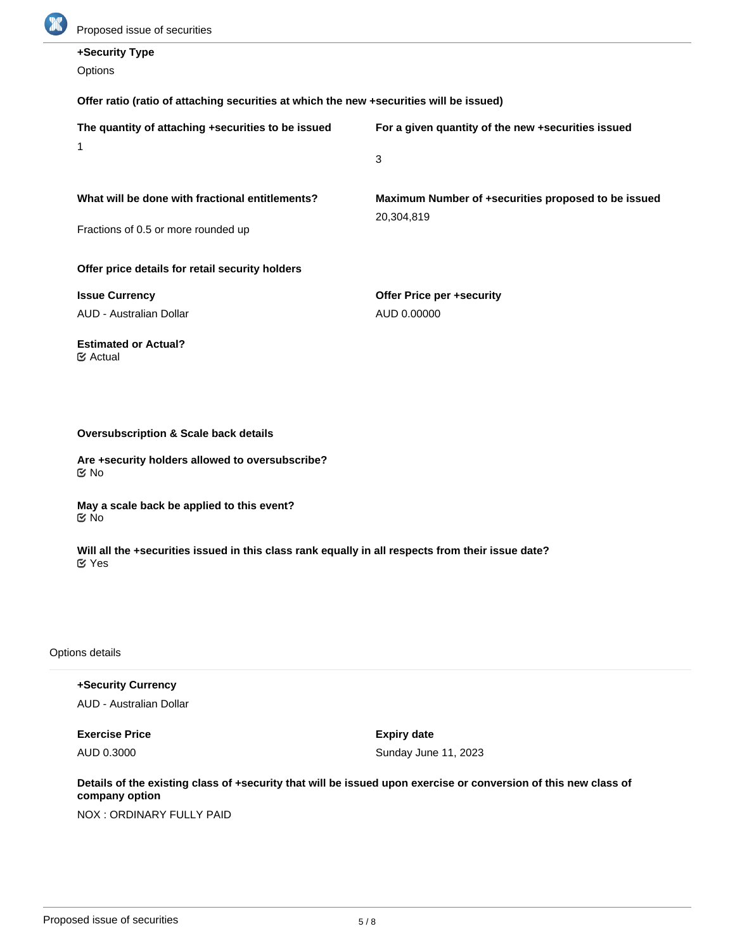

| +Security Type                                                                          |                                                     |  |  |
|-----------------------------------------------------------------------------------------|-----------------------------------------------------|--|--|
| Options                                                                                 |                                                     |  |  |
| Offer ratio (ratio of attaching securities at which the new +securities will be issued) |                                                     |  |  |
| The quantity of attaching +securities to be issued                                      | For a given quantity of the new +securities issued  |  |  |
| 1                                                                                       | 3                                                   |  |  |
| What will be done with fractional entitlements?                                         | Maximum Number of +securities proposed to be issued |  |  |
| Fractions of 0.5 or more rounded up                                                     | 20,304,819                                          |  |  |
| Offer price details for retail security holders                                         |                                                     |  |  |
| <b>Issue Currency</b>                                                                   | Offer Price per +security                           |  |  |
| <b>AUD - Australian Dollar</b>                                                          | AUD 0.00000                                         |  |  |
| <b>Estimated or Actual?</b><br>$\mathfrak{C}$ Actual                                    |                                                     |  |  |
|                                                                                         |                                                     |  |  |
| <b>Oversubscription &amp; Scale back details</b>                                        |                                                     |  |  |
| Are +security holders allowed to oversubscribe?<br>$\mathfrak{C}$ No                    |                                                     |  |  |

**May a scale back be applied to this event?** No

**Will all the +securities issued in this class rank equally in all respects from their issue date?** Yes

Options details

**+Security Currency** AUD - Australian Dollar

**Exercise Price**

AUD 0.3000

**Expiry date** Sunday June 11, 2023

**Details of the existing class of +security that will be issued upon exercise or conversion of this new class of company option**

NOX : ORDINARY FULLY PAID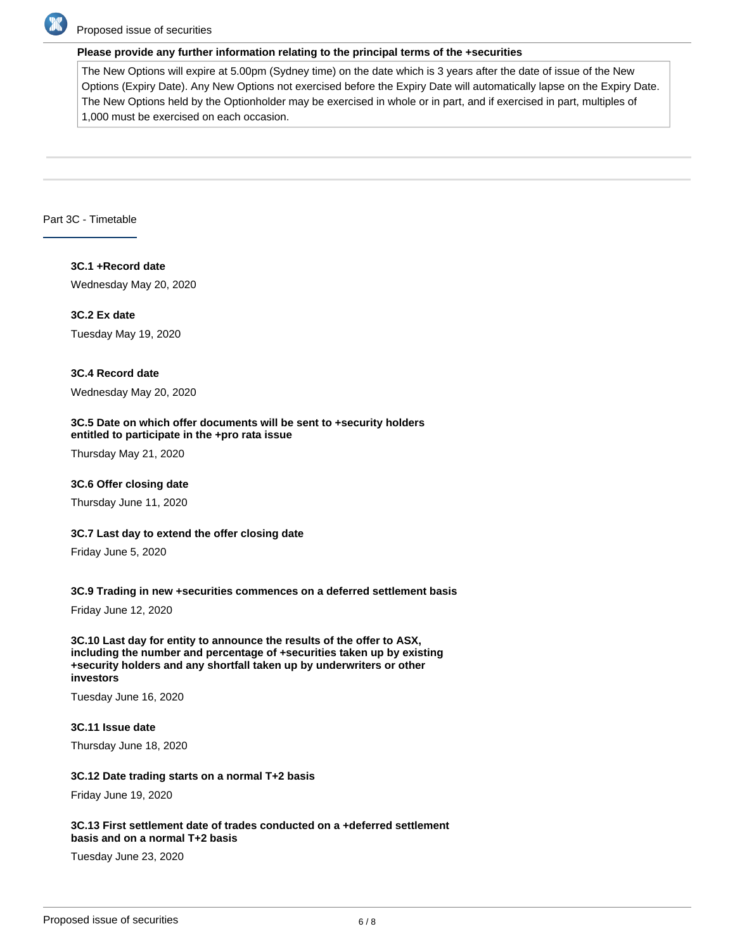

## Proposed issue of securities

#### **Please provide any further information relating to the principal terms of the +securities**

The New Options will expire at 5.00pm (Sydney time) on the date which is 3 years after the date of issue of the New Options (Expiry Date). Any New Options not exercised before the Expiry Date will automatically lapse on the Expiry Date. The New Options held by the Optionholder may be exercised in whole or in part, and if exercised in part, multiples of 1,000 must be exercised on each occasion.

## Part 3C - Timetable

**3C.1 +Record date** Wednesday May 20, 2020

**3C.2 Ex date** Tuesday May 19, 2020

## **3C.4 Record date**

Wednesday May 20, 2020

#### **3C.5 Date on which offer documents will be sent to +security holders entitled to participate in the +pro rata issue**

Thursday May 21, 2020

#### **3C.6 Offer closing date**

Thursday June 11, 2020

#### **3C.7 Last day to extend the offer closing date**

Friday June 5, 2020

#### **3C.9 Trading in new +securities commences on a deferred settlement basis**

Friday June 12, 2020

**3C.10 Last day for entity to announce the results of the offer to ASX, including the number and percentage of +securities taken up by existing +security holders and any shortfall taken up by underwriters or other investors**

Tuesday June 16, 2020

**3C.11 Issue date** Thursday June 18, 2020

#### **3C.12 Date trading starts on a normal T+2 basis**

Friday June 19, 2020

#### **3C.13 First settlement date of trades conducted on a +deferred settlement basis and on a normal T+2 basis**

Tuesday June 23, 2020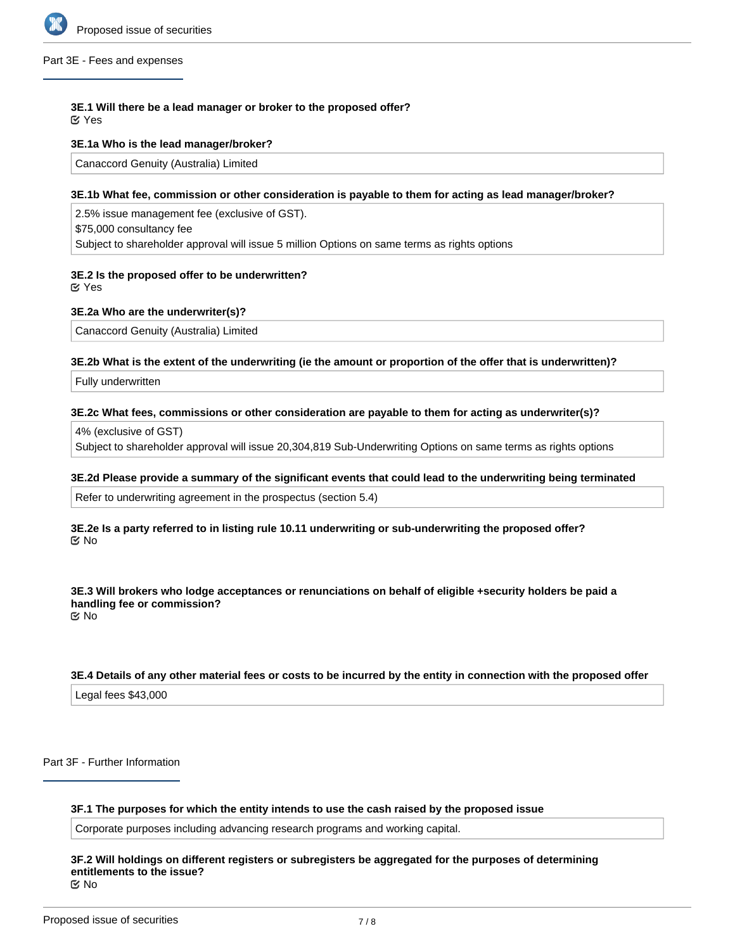

#### Part 3E - Fees and expenses

# **3E.1 Will there be a lead manager or broker to the proposed offer?**

Yes

## **3E.1a Who is the lead manager/broker?**

Canaccord Genuity (Australia) Limited

# **3E.1b What fee, commission or other consideration is payable to them for acting as lead manager/broker?**

2.5% issue management fee (exclusive of GST). \$75,000 consultancy fee Subject to shareholder approval will issue 5 million Options on same terms as rights options

# **3E.2 Is the proposed offer to be underwritten?**

Yes

## **3E.2a Who are the underwriter(s)?**

Canaccord Genuity (Australia) Limited

#### **3E.2b What is the extent of the underwriting (ie the amount or proportion of the offer that is underwritten)?**

Fully underwritten

# **3E.2c What fees, commissions or other consideration are payable to them for acting as underwriter(s)?**

4% (exclusive of GST)

Subject to shareholder approval will issue 20,304,819 Sub-Underwriting Options on same terms as rights options

#### **3E.2d Please provide a summary of the significant events that could lead to the underwriting being terminated**

Refer to underwriting agreement in the prospectus (section 5.4)

#### **3E.2e Is a party referred to in listing rule 10.11 underwriting or sub-underwriting the proposed offer?** No

**3E.3 Will brokers who lodge acceptances or renunciations on behalf of eligible +security holders be paid a handling fee or commission?** No

# **3E.4 Details of any other material fees or costs to be incurred by the entity in connection with the proposed offer**

Legal fees \$43,000

Part 3F - Further Information

#### **3F.1 The purposes for which the entity intends to use the cash raised by the proposed issue**

Corporate purposes including advancing research programs and working capital.

#### **3F.2 Will holdings on different registers or subregisters be aggregated for the purposes of determining entitlements to the issue?** No